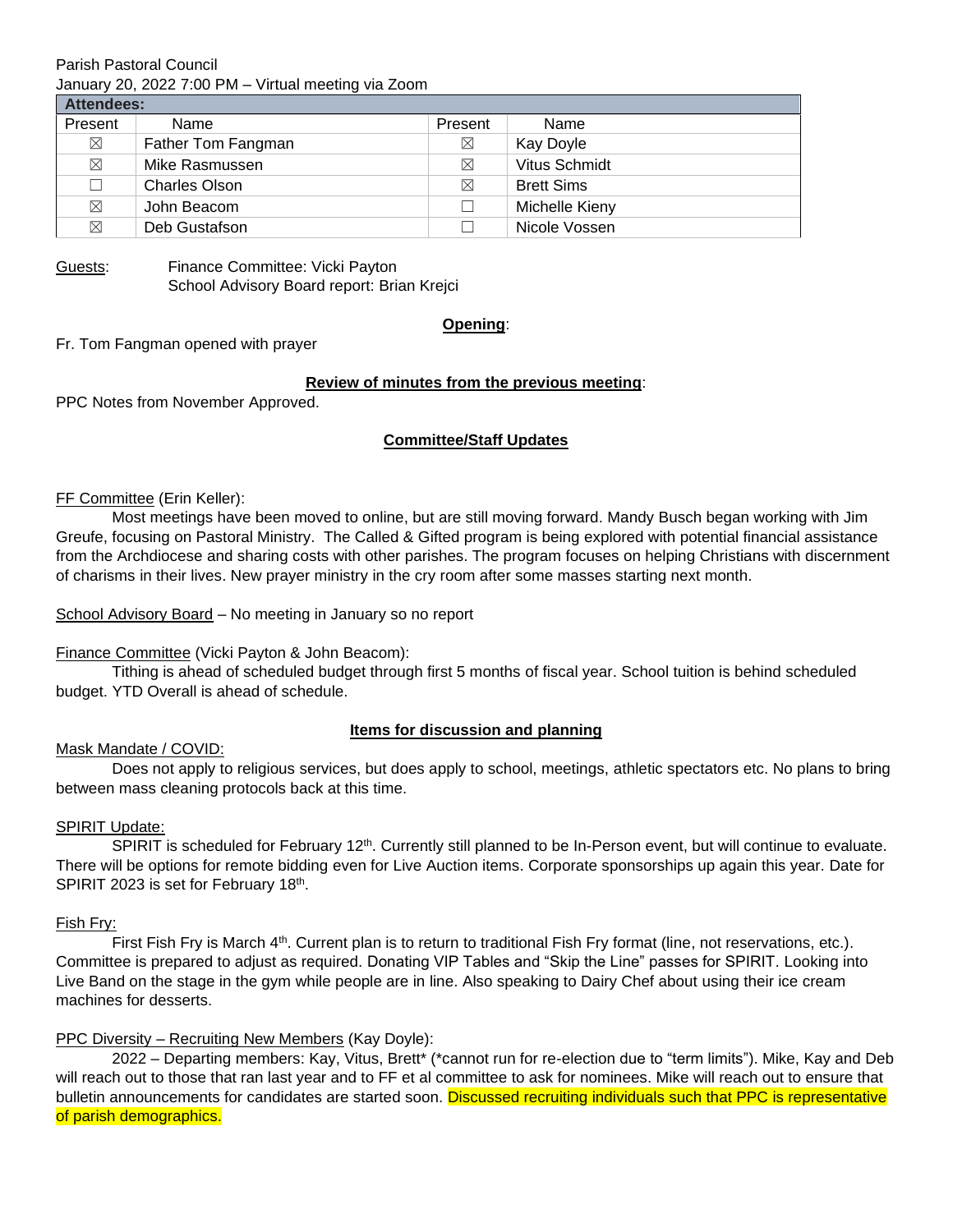Parish Pastoral Council January 20, 2022 7:00 PM – Virtual meeting via Zoom

| Attendees:  |                      |             |                   |
|-------------|----------------------|-------------|-------------------|
| Present     | Name                 | Present     | Name              |
| $\boxtimes$ | Father Tom Fangman   | ⊠           | Kay Doyle         |
| $\boxtimes$ | Mike Rasmussen       | ⊠           | Vitus Schmidt     |
| П           | <b>Charles Olson</b> | $\boxtimes$ | <b>Brett Sims</b> |
| $\boxtimes$ | John Beacom          |             | Michelle Kieny    |
| $\boxtimes$ | Deb Gustafson        |             | Nicole Vossen     |

Guests: Finance Committee: Vicki Payton School Advisory Board report: Brian Krejci

#### **Opening**:

Fr. Tom Fangman opened with prayer

# **Review of minutes from the previous meeting**:

PPC Notes from November Approved.

# **Committee/Staff Updates**

#### FF Committee (Erin Keller):

Most meetings have been moved to online, but are still moving forward. Mandy Busch began working with Jim Greufe, focusing on Pastoral Ministry. The Called & Gifted program is being explored with potential financial assistance from the Archdiocese and sharing costs with other parishes. The program focuses on helping Christians with discernment of charisms in their lives. New prayer ministry in the cry room after some masses starting next month.

School Advisory Board – No meeting in January so no report

## Finance Committee (Vicki Payton & John Beacom):

Tithing is ahead of scheduled budget through first 5 months of fiscal year. School tuition is behind scheduled budget. YTD Overall is ahead of schedule.

## **Items for discussion and planning**

## Mask Mandate / COVID:

Does not apply to religious services, but does apply to school, meetings, athletic spectators etc. No plans to bring between mass cleaning protocols back at this time.

## SPIRIT Update:

SPIRIT is scheduled for February 12<sup>th</sup>. Currently still planned to be In-Person event, but will continue to evaluate. There will be options for remote bidding even for Live Auction items. Corporate sponsorships up again this year. Date for SPIRIT 2023 is set for February 18<sup>th</sup>.

## Fish Fry:

First Fish Fry is March 4<sup>th</sup>. Current plan is to return to traditional Fish Fry format (line, not reservations, etc.). Committee is prepared to adjust as required. Donating VIP Tables and "Skip the Line" passes for SPIRIT. Looking into Live Band on the stage in the gym while people are in line. Also speaking to Dairy Chef about using their ice cream machines for desserts.

## PPC Diversity – Recruiting New Members (Kay Doyle):

2022 – Departing members: Kay, Vitus, Brett\* (\*cannot run for re-election due to "term limits"). Mike, Kay and Deb will reach out to those that ran last year and to FF et al committee to ask for nominees. Mike will reach out to ensure that bulletin announcements for candidates are started soon. Discussed recruiting individuals such that PPC is representative of parish demographics.